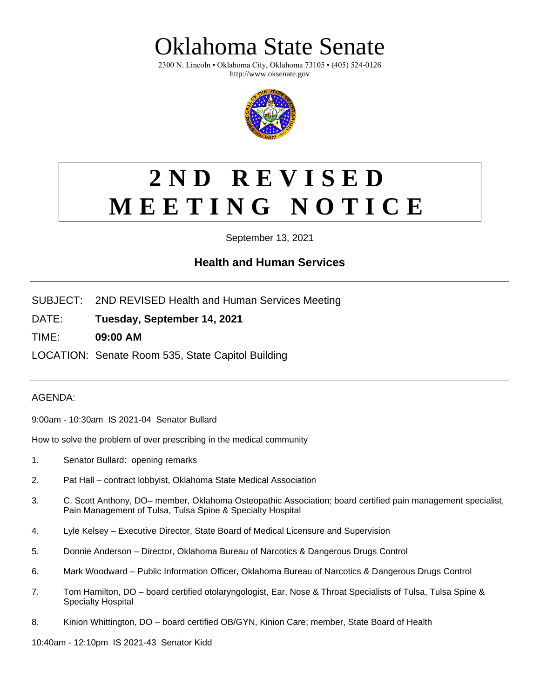klahoma State Senate

2300 N. Lincoln • Oklahoma City, Oklahoma 73105 • (405) 524-0126 http://www.oksenate.gov



## **2 N D R E V I S E D M E E T I N G N O T I C E**

September 13, 2021

## **Health and Human Services**

- SUBJECT: 2ND REVISED Health and Human Services Meeting
- DATE: **Tuesday, September 14, 2021**
- TIME: **09:00 AM**

LOCATION: Senate Room 535, State Capitol Building

## AGENDA:

9:00am - 10:30am IS 2021-04 Senator Bullard

How to solve the problem of over prescribing in the medical community

- 1. Senator Bullard: opening remarks
- 2. Pat Hall contract lobbyist, Oklahoma State Medical Association
- 3. C. Scott Anthony, DO– member, Oklahoma Osteopathic Association; board certified pain management specialist, Pain Management of Tulsa, Tulsa Spine & Specialty Hospital
- 4. Lyle Kelsey Executive Director, State Board of Medical Licensure and Supervision
- 5. Donnie Anderson Director, Oklahoma Bureau of Narcotics & Dangerous Drugs Control
- 6. Mark Woodward Public Information Officer, Oklahoma Bureau of Narcotics & Dangerous Drugs Control
- 7. Tom Hamilton, DO board certified otolaryngologist, Ear, Nose & Throat Specialists of Tulsa, Tulsa Spine & Specialty Hospital
- 8. Kinion Whittington, DO board certified OB/GYN, Kinion Care; member, State Board of Health

10:40am - 12:10pm IS 2021-43 Senator Kidd